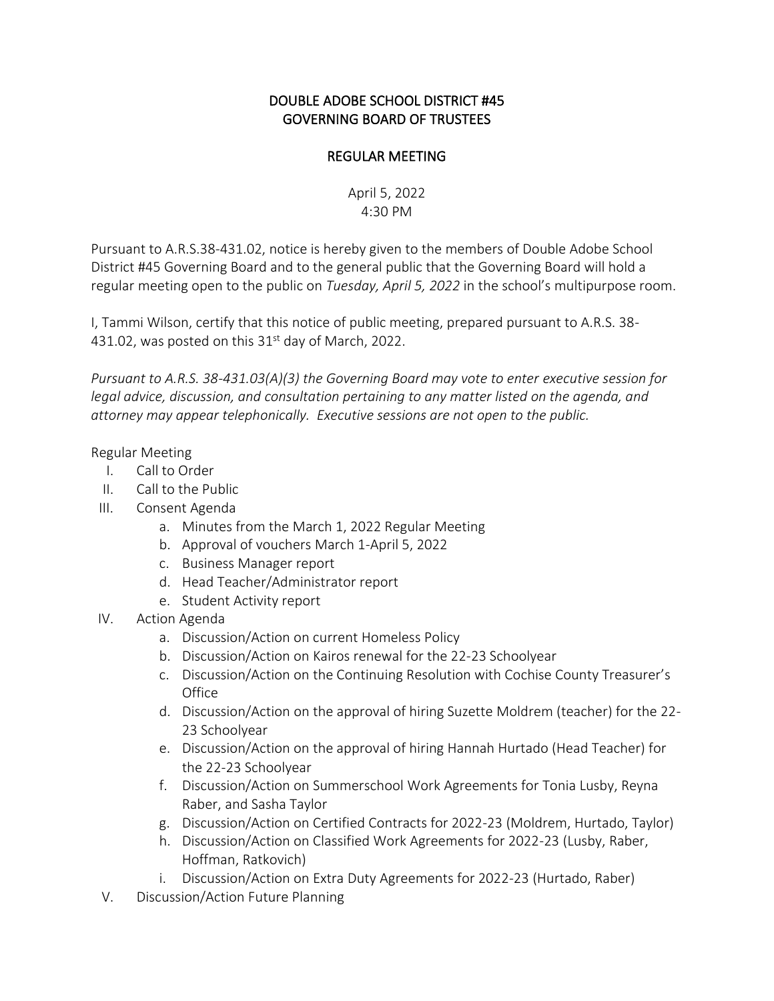## DOUBLE ADOBE SCHOOL DISTRICT #45 GOVERNING BOARD OF TRUSTEES

## REGULAR MEETING

April 5, 2022 4:30 PM

Pursuant to A.R.S.38-431.02, notice is hereby given to the members of Double Adobe School District #45 Governing Board and to the general public that the Governing Board will hold a regular meeting open to the public on *Tuesday, April 5, 2022* in the school's multipurpose room.

I, Tammi Wilson, certify that this notice of public meeting, prepared pursuant to A.R.S. 38- 431.02, was posted on this  $31<sup>st</sup>$  day of March, 2022.

*Pursuant to A.R.S. 38-431.03(A)(3) the Governing Board may vote to enter executive session for legal advice, discussion, and consultation pertaining to any matter listed on the agenda, and attorney may appear telephonically. Executive sessions are not open to the public.*

## Regular Meeting

- I. Call to Order
- II. Call to the Public
- III. Consent Agenda
	- a. Minutes from the March 1, 2022 Regular Meeting
	- b. Approval of vouchers March 1-April 5, 2022
	- c. Business Manager report
	- d. Head Teacher/Administrator report
	- e. Student Activity report
- IV. Action Agenda
	- a. Discussion/Action on current Homeless Policy
	- b. Discussion/Action on Kairos renewal for the 22-23 Schoolyear
	- c. Discussion/Action on the Continuing Resolution with Cochise County Treasurer's **Office**
	- d. Discussion/Action on the approval of hiring Suzette Moldrem (teacher) for the 22- 23 Schoolyear
	- e. Discussion/Action on the approval of hiring Hannah Hurtado (Head Teacher) for the 22-23 Schoolyear
	- f. Discussion/Action on Summerschool Work Agreements for Tonia Lusby, Reyna Raber, and Sasha Taylor
	- g. Discussion/Action on Certified Contracts for 2022-23 (Moldrem, Hurtado, Taylor)
	- h. Discussion/Action on Classified Work Agreements for 2022-23 (Lusby, Raber, Hoffman, Ratkovich)
	- i. Discussion/Action on Extra Duty Agreements for 2022-23 (Hurtado, Raber)
- V. Discussion/Action Future Planning